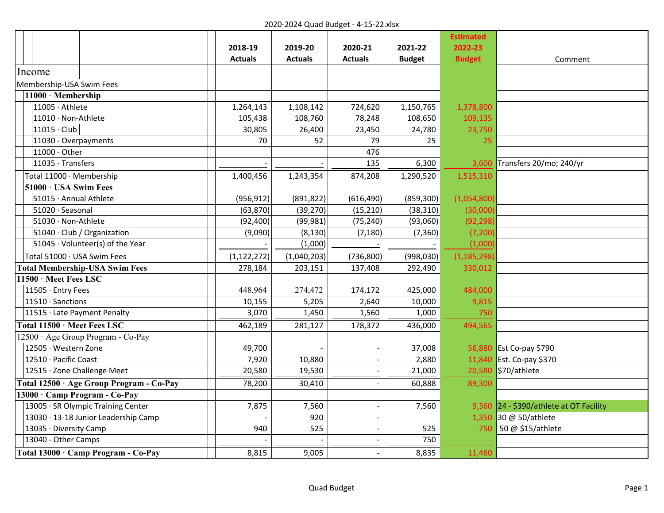|                                          |                |                |                |               | <b>Estimated</b> |                                         |
|------------------------------------------|----------------|----------------|----------------|---------------|------------------|-----------------------------------------|
|                                          | 2018-19        | 2019-20        | 2020-21        | 2021-22       | 2022-23          |                                         |
|                                          | <b>Actuals</b> | <b>Actuals</b> | <b>Actuals</b> | <b>Budget</b> | <b>Budget</b>    | Comment                                 |
| Income                                   |                |                |                |               |                  |                                         |
| Membership-USA Swim Fees                 |                |                |                |               |                  |                                         |
| 11000 · Membership                       |                |                |                |               |                  |                                         |
| 11005 · Athlete                          | 1,264,143      | 1,108,142      | 724,620        | 1,150,765     | 1,378,800        |                                         |
| 11010 · Non-Athlete                      | 105,438        | 108,760        | 78,248         | 108,650       | 109,135          |                                         |
| $11015 \cdot$ Club                       | 30,805         | 26,400         | 23,450         | 24,780        | 23,750           |                                         |
| 11030 - Overpayments                     | 70             | 52             | 79             | 25            | 25               |                                         |
| 11000 - Other                            |                |                | 476            |               |                  |                                         |
| 11035 - Transfers                        |                |                | 135            | 6,300         | 3,600            | Transfers 20/mo; 240/yr                 |
| Total 11000 · Membership                 | 1,400,456      | 1,243,354      | 874,208        | 1,290,520     | 1,515,310        |                                         |
| 51000 · USA Swim Fees                    |                |                |                |               |                  |                                         |
| 51015 · Annual Athlete                   | (956, 912)     | (891, 822)     | (616, 490)     | (859, 300)    | (1,054,800)      |                                         |
| 51020 · Seasonal                         | (63, 870)      | (39, 270)      | (15, 210)      | (38, 310)     | (30,000)         |                                         |
| 51030 · Non-Athlete                      | (92, 400)      | (99, 981)      | (75, 240)      | (93,060)      | (92, 298)        |                                         |
| 51040 · Club / Organization              | (9,090)        | (8, 130)       | (7, 180)       | (7, 360)      | (7, 200)         |                                         |
| $ 51045 \cdot$ Volunteer(s) of the Year  |                | (1,000)        |                |               | (1,000)          |                                         |
| Total 51000 · USA Swim Fees              | (1, 122, 272)  | (1,040,203)    | (736, 800)     | (998, 030)    | (1, 185, 298)    |                                         |
| <b>Total Membership-USA Swim Fees</b>    | 278,184        | 203,151        | 137,408        | 292,490       | 330,012          |                                         |
| 11500 · Meet Fees LSC                    |                |                |                |               |                  |                                         |
| 11505 · Entry Fees                       | 448,964        | 274,472        | 174,172        | 425,000       | 484,000          |                                         |
| 11510 · Sanctions                        | 10,155         | 5,205          | 2,640          | 10,000        | 9,815            |                                         |
| 11515 · Late Payment Penalty             | 3,070          | 1,450          | 1,560          | 1,000         | 750              |                                         |
| Total 11500 · Meet Fees LSC              | 462,189        | 281,127        | 178,372        | 436,000       | 494,565          |                                         |
| 12500 · Age Group Program - Co-Pay       |                |                |                |               |                  |                                         |
| 12505 · Western Zone                     | 49,700         |                |                | 37,008        |                  | 56,880 Est Co-pay \$790                 |
| 12510 · Pacific Coast                    | 7,920          | 10,880         | $\blacksquare$ | 2,880         | 11,840           | Est. Co-pay \$370                       |
| 12515 · Zone Challenge Meet              | 20,580         | 19,530         | $\blacksquare$ | 21,000        | 20,580           | \$70/athlete                            |
| Total 12500 · Age Group Program - Co-Pay | 78,200         | 30,410         |                | 60,888        | 89,300           |                                         |
| 13000 · Camp Program - Co-Pay            |                |                |                |               |                  |                                         |
| 13005 · SR Olympic Training Center       | 7,875          | 7,560          |                | 7,560         |                  | 9,360 24 - \$390/athlete at OT Facility |
| 13030 · 13-18 Junior Leadership Camp     |                | 920            |                |               | 1,350            | 30 @ 50/athlete                         |
| 13035 · Diversity Camp                   | 940            | 525            |                | 525           | 750              | 50 @ \$15/athlete                       |
| 13040 - Other Camps                      |                |                |                | 750           |                  |                                         |
| Total 13000 · Camp Program - Co-Pay      | 8,815          | 9,005          |                | 8,835         | 11,460           |                                         |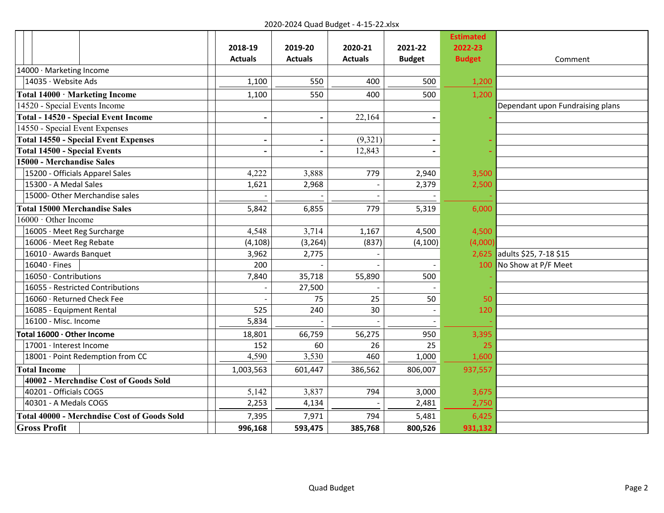|                                                    |                          |                          |                |                          | <b>Estimated</b> |                                  |
|----------------------------------------------------|--------------------------|--------------------------|----------------|--------------------------|------------------|----------------------------------|
|                                                    | 2018-19                  | 2019-20                  | 2020-21        | 2021-22                  | 2022-23          |                                  |
|                                                    | <b>Actuals</b>           | <b>Actuals</b>           | <b>Actuals</b> | <b>Budget</b>            | <b>Budget</b>    | Comment                          |
| 14000 · Marketing Income                           |                          |                          |                |                          |                  |                                  |
| 14035 · Website Ads                                | 1,100                    | 550                      | 400            | 500                      | 1,200            |                                  |
| Total 14000 · Marketing Income                     | 1,100                    | 550                      | 400            | 500                      | 1,200            |                                  |
| 14520 - Special Events Income                      |                          |                          |                |                          |                  | Dependant upon Fundraising plans |
| <b>Total - 14520 - Special Event Income</b>        | $\overline{\phantom{a}}$ | $\overline{\phantom{a}}$ | 22,164         | $\overline{\phantom{a}}$ |                  |                                  |
| 14550 - Special Event Expenses                     |                          |                          |                |                          |                  |                                  |
| <b>Total 14550 - Special Event Expenses</b>        | $\blacksquare$           | $\overline{\phantom{a}}$ | (9,321)        | $\overline{\phantom{0}}$ |                  |                                  |
| <b>Total 14500 - Special Events</b>                | L,                       |                          | 12,843         |                          |                  |                                  |
| 15000 - Merchandise Sales                          |                          |                          |                |                          |                  |                                  |
| 15200 - Officials Apparel Sales                    | 4,222                    | 3,888                    | 779            | 2,940                    | 3,500            |                                  |
| 15300 - A Medal Sales                              | 1,621                    | 2,968                    |                | 2,379                    | 2,500            |                                  |
| 15000- Other Merchandise sales                     |                          |                          |                |                          |                  |                                  |
| <b>Total 15000 Merchandise Sales</b>               | 5,842                    | 6,855                    | 779            | 5,319                    | 6,000            |                                  |
| 16000 · Other Income                               |                          |                          |                |                          |                  |                                  |
| 16005 · Meet Reg Surcharge                         | 4,548                    | 3,714                    | 1,167          | 4,500                    | 4,500            |                                  |
| 16006 · Meet Reg Rebate                            | (4, 108)                 | (3, 264)                 | (837)          | (4, 100)                 | (4,000)          |                                  |
| 16010 · Awards Banquet                             | 3,962                    | 2,775                    |                |                          | 2,625            | adults \$25, 7-18 \$15           |
| $16040 \cdot$ Fines                                | 200                      |                          |                |                          | 100              | No Show at P/F Meet              |
| 16050 · Contributions                              | 7,840                    | 35,718                   | 55,890         | 500                      |                  |                                  |
| 16055 - Restricted Contributions                   |                          | 27,500                   |                |                          |                  |                                  |
| 16060 · Returned Check Fee                         |                          | 75                       | 25             | 50                       | 50               |                                  |
| 16085 - Equipment Rental                           | 525                      | 240                      | 30             |                          | 120              |                                  |
| 16100 - Misc. Income                               | 5,834                    |                          |                |                          |                  |                                  |
| Total 16000 · Other Income                         | 18,801                   | 66,759                   | 56,275         | 950                      | 3,395            |                                  |
| 17001 · Interest Income                            | 152                      | 60                       | 26             | 25                       | 25               |                                  |
| 18001 · Point Redemption from CC                   | 4,590                    | 3,530                    | 460            | 1,000                    | 1,600            |                                  |
| <b>Total Income</b>                                | 1,003,563                | 601,447                  | 386,562        | 806,007                  | 937,557          |                                  |
| 40002 - Merchndise Cost of Goods Sold              |                          |                          |                |                          |                  |                                  |
| 40201 - Officials COGS                             | 5,142                    | 3,837                    | 794            | 3,000                    | 3,675            |                                  |
| 40301 - A Medals COGS                              | 2,253                    | 4,134                    |                | 2,481                    | 2,750            |                                  |
| <b>Total 40000 - Merchndise Cost of Goods Sold</b> | 7,395                    | 7,971                    | 794            | 5,481                    | 6,425            |                                  |
| <b>Gross Profit</b>                                | 996,168                  | 593,475                  | 385,768        | 800,526                  | 931,132          |                                  |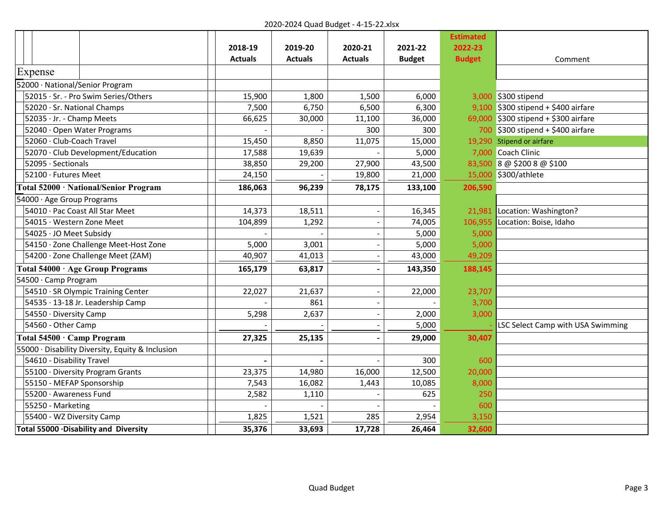|                                                  |                |                |                |               | <b>Estimated</b> |                                       |
|--------------------------------------------------|----------------|----------------|----------------|---------------|------------------|---------------------------------------|
|                                                  | 2018-19        | 2019-20        | 2020-21        | 2021-22       | 2022-23          |                                       |
|                                                  | <b>Actuals</b> | <b>Actuals</b> | <b>Actuals</b> | <b>Budget</b> | <b>Budget</b>    | Comment                               |
| Expense                                          |                |                |                |               |                  |                                       |
| 52000 · National/Senior Program                  |                |                |                |               |                  |                                       |
| 52015 · Sr. - Pro Swim Series/Others             | 15,900         | 1,800          | 1,500          | 6,000         |                  | 3,000 \$300 stipend                   |
| 52020 · Sr. National Champs                      | 7,500          | 6,750          | 6,500          | 6,300         |                  | $9,100$ \$300 stipend + \$400 airfare |
| 52035 · Jr. - Champ Meets                        | 66,625         | 30,000         | 11,100         | 36,000        |                  | 69,000 \$300 stipend + \$300 airfare  |
| 52040 · Open Water Programs                      |                |                | 300            | 300           |                  | 700 \$300 stipend + \$400 airfare     |
| 52060 · Club-Coach Travel                        | 15,450         | 8,850          | 11,075         | 15,000        |                  | 19,290 Stipend or airfare             |
| 52070 · Club Development/Education               | 17,588         | 19,639         |                | 5,000         |                  | 7,000 Coach Clinic                    |
| 52095 · Sectionals                               | 38,850         | 29,200         | 27,900         | 43,500        |                  | 83,500 8 @ \$200 8 @ \$100            |
| 52100 · Futures Meet                             | 24,150         |                | 19,800         | 21,000        | 15,000           | \$300/athlete                         |
| Total 52000 · National/Senior Program            | 186,063        | 96,239         | 78,175         | 133,100       | 206,590          |                                       |
| 54000 · Age Group Programs                       |                |                |                |               |                  |                                       |
| 54010 · Pac Coast All Star Meet                  | 14,373         | 18,511         |                | 16,345        | 21,981           | Location: Washington?                 |
| 54015 · Western Zone Meet                        | 104,899        | 1,292          |                | 74,005        | 106,955          | Location: Boise, Idaho                |
| 54025 · JO Meet Subsidy                          |                |                |                | 5,000         | 5,000            |                                       |
| 54150 · Zone Challenge Meet-Host Zone            | 5,000          | 3,001          |                | 5,000         | 5,000            |                                       |
| 54200 · Zone Challenge Meet (ZAM)                | 40,907         | 41,013         |                | 43,000        | 49,209           |                                       |
| Total 54000 · Age Group Programs                 | 165,179        | 63,817         |                | 143,350       | 188,145          |                                       |
| 54500 · Camp Program                             |                |                |                |               |                  |                                       |
| 54510 · SR Olympic Training Center               | 22,027         | 21,637         |                | 22,000        | 23,707           |                                       |
| 54535 · 13-18 Jr. Leadership Camp                |                | 861            |                |               | 3,700            |                                       |
| 54550 · Diversity Camp                           | 5,298          | 2,637          |                | 2,000         | 3,000            |                                       |
| 54560 - Other Camp                               |                |                |                | 5,000         |                  | LSC Select Camp with USA Swimming     |
| Total 54500 · Camp Program                       | 27,325         | 25,135         |                | 29,000        | 30,407           |                                       |
| 55000 · Disability Diversity, Equity & Inclusion |                |                |                |               |                  |                                       |
| 54610 - Disability Travel                        |                |                |                | 300           | 600              |                                       |
| 55100 · Diversity Program Grants                 | 23,375         | 14,980         | 16,000         | 12,500        | 20,000           |                                       |
| 55150 - MEFAP Sponsorship                        | 7,543          | 16,082         | 1,443          | 10,085        | 8,000            |                                       |
| 55200 · Awareness Fund                           | 2,582          | 1,110          |                | 625           | 250              |                                       |
| 55250 - Marketing                                |                |                |                |               | 600              |                                       |
| 55400 - WZ Diversity Camp                        | 1,825          | 1,521          | 285            | 2,954         | 3,150            |                                       |
| Total 55000 . Disability and Diversity           | 35,376         | 33,693         | 17,728         | 26,464        | 32,600           |                                       |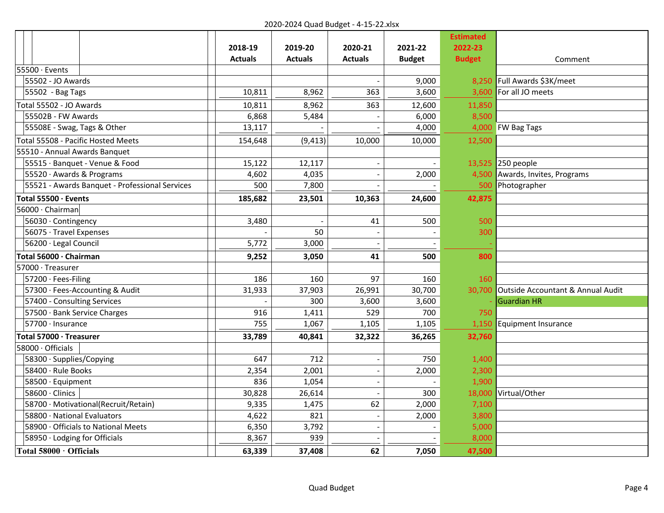|                                                |                |                |                |                | <b>Estimated</b> |                                   |
|------------------------------------------------|----------------|----------------|----------------|----------------|------------------|-----------------------------------|
|                                                | 2018-19        | 2019-20        | 2020-21        | 2021-22        | 2022-23          |                                   |
|                                                | <b>Actuals</b> | <b>Actuals</b> | <b>Actuals</b> | <b>Budget</b>  | <b>Budget</b>    | Comment                           |
| 55500 · Events                                 |                |                |                |                |                  |                                   |
| 55502 - JO Awards                              |                |                |                | 9,000          | 8.250            | Full Awards \$3K/meet             |
| 55502 - Bag Tags                               | 10,811         | 8,962          | 363            | 3,600          | 3,600            | For all JO meets                  |
| Total 55502 - JO Awards                        | 10,811         | 8,962          | 363            | 12,600         | 11,850           |                                   |
| 55502B - FW Awards                             | 6,868          | 5,484          |                | 6,000          | 8,500            |                                   |
| 55508E - Swag, Tags & Other                    | 13,117         |                |                | 4,000          |                  | 4,000 FW Bag Tags                 |
| Total 55508 - Pacific Hosted Meets             | 154,648        | (9, 413)       | 10,000         | 10,000         | 12,500           |                                   |
| 55510 - Annual Awards Banquet                  |                |                |                |                |                  |                                   |
| 55515 · Banquet - Venue & Food                 | 15,122         | 12,117         |                |                |                  | 13,525 250 people                 |
| 55520 · Awards & Programs                      | 4,602          | 4,035          |                | 2,000          | 4,500            | Awards, Invites, Programs         |
| 55521 - Awards Banquet - Professional Services | 500            | 7,800          |                |                | 500              | Photographer                      |
| Total 55500 $\cdot$ Events                     | 185,682        | 23,501         | 10,363         | 24,600         | 42,875           |                                   |
| 56000 · Chairman                               |                |                |                |                |                  |                                   |
| 56030 · Contingency                            | 3,480          |                | 41             | 500            | 500              |                                   |
| 56075 · Travel Expenses                        |                | 50             | $\blacksquare$ |                | 300              |                                   |
| 56200 · Legal Council                          | 5,772          | 3,000          |                |                |                  |                                   |
| Total 56000 · Chairman                         | 9,252          | 3,050          | 41             | 500            | 800              |                                   |
| 57000 · Treasurer                              |                |                |                |                |                  |                                   |
| 57200 · Fees-Filing                            | 186            | 160            | 97             | 160            | 160              |                                   |
| 57300 · Fees-Accounting & Audit                | 31,933         | 37,903         | 26,991         | 30,700         | 30,700           | Outside Accountant & Annual Audit |
| 57400 - Consulting Services                    |                | 300            | 3,600          | 3,600          |                  | <b>Guardian HR</b>                |
| 57500 · Bank Service Charges                   | 916            | 1,411          | 529            | 700            | 750              |                                   |
| 57700 · Insurance                              | 755            | 1,067          | 1,105          | 1,105          | 1,150            | Equipment Insurance               |
| Total 57000 · Treasurer                        | 33,789         | 40,841         | 32,322         | 36,265         | 32,760           |                                   |
| 58000 · Officials                              |                |                |                |                |                  |                                   |
| 58300 · Supplies/Copying                       | 647            | 712            |                | 750            | 1,400            |                                   |
| 58400 · Rule Books                             | 2,354          | 2,001          |                | 2,000          | 2,300            |                                   |
| 58500 · Equipment                              | 836            | 1,054          |                |                | 1,900            |                                   |
| 58600 · Clinics                                | 30,828         | 26,614         |                | 300            | 18,000           | Virtual/Other                     |
| 58700 · Motivational(Recruit/Retain)           | 9,335          | 1,475          | 62             | 2,000          | 7,100            |                                   |
| 58800 · National Evaluators                    | 4,622          | 821            | $\sim$         | 2,000          | 3,800            |                                   |
| 58900 · Officials to National Meets            | 6,350          | 3,792          | $\sim$         | $\blacksquare$ | 5,000            |                                   |
| 58950 · Lodging for Officials                  | 8,367          | 939            |                |                | 8,000            |                                   |
| Total 58000 · Officials                        | 63,339         | 37,408         | 62             | 7,050          | 47,500           |                                   |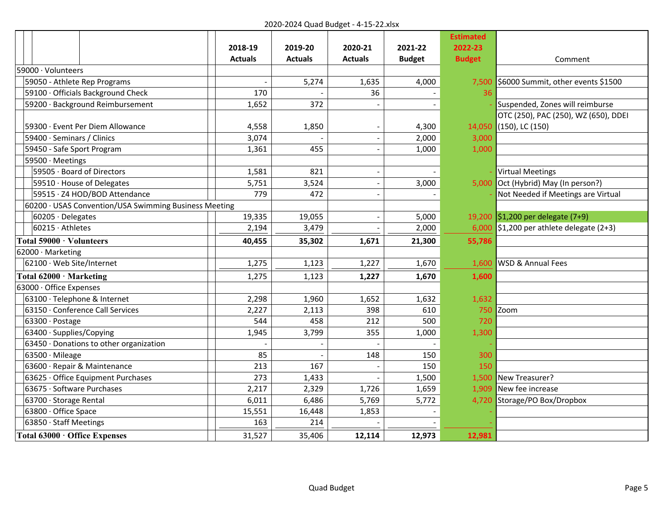|                                                       |                |                |                |                | <b>Estimated</b> |                                      |
|-------------------------------------------------------|----------------|----------------|----------------|----------------|------------------|--------------------------------------|
|                                                       | 2018-19        | 2019-20        | 2020-21        | 2021-22        | 2022-23          |                                      |
|                                                       | <b>Actuals</b> | <b>Actuals</b> | <b>Actuals</b> | <b>Budget</b>  | <b>Budget</b>    | Comment                              |
| 59000 · Volunteers                                    |                |                |                |                |                  |                                      |
| 59050 - Athlete Rep Programs                          |                | 5,274          | 1,635          | 4,000          | 7,500            | \$6000 Summit, other events \$1500   |
| 59100 · Officials Background Check                    | 170            |                | 36             |                | 36               |                                      |
| 59200 · Background Reimbursement                      | 1,652          | 372            |                | $\blacksquare$ |                  | Suspended, Zones will reimburse      |
|                                                       |                |                |                |                |                  | OTC (250), PAC (250), WZ (650), DDEI |
| 59300 · Event Per Diem Allowance                      | 4,558          | 1,850          |                | 4,300          | 14,050           | $(150)$ , LC $(150)$                 |
| 59400 · Seminars / Clinics                            | 3,074          |                |                | 2,000          | 3,000            |                                      |
| 59450 - Safe Sport Program                            | 1,361          | 455            |                | 1,000          | 1,000            |                                      |
| 59500 · Meetings                                      |                |                |                |                |                  |                                      |
| 59505 · Board of Directors                            | 1,581          | 821            |                |                |                  | <b>Virtual Meetings</b>              |
| 59510 · House of Delegates                            | 5,751          | 3,524          |                | 3,000          | 5.000            | Oct (Hybrid) May (In person?)        |
| 59515 · Z4 HOD/BOD Attendance                         | 779            | 472            |                |                |                  | Not Needed if Meetings are Virtual   |
| 60200 · USAS Convention/USA Swimming Business Meeting |                |                |                |                |                  |                                      |
| $60205 \cdot Delegates$                               | 19,335         | 19,055         |                | 5,000          |                  | 19,200 \$1,200 per delegate (7+9)    |
| $60215 \cdot$ Athletes                                | 2,194          | 3,479          |                | 2,000          | 6,000            | \$1,200 per athlete delegate $(2+3)$ |
| Total 59000 · Volunteers                              | 40,455         | 35,302         | 1,671          | 21,300         | 55,786           |                                      |
| 62000 · Marketing                                     |                |                |                |                |                  |                                      |
| 62100 · Web Site/Internet                             | 1,275          | 1,123          | 1,227          | 1,670          | 1,600            | WSD & Annual Fees                    |
| Total 62000 · Marketing                               | 1,275          | 1,123          | 1,227          | 1,670          | 1,600            |                                      |
| 63000 · Office Expenses                               |                |                |                |                |                  |                                      |
| 63100 · Telephone & Internet                          | 2,298          | 1,960          | 1,652          | 1,632          | 1,632            |                                      |
| 63150 · Conference Call Services                      | 2,227          | 2,113          | 398            | 610            | 750              | Zoom                                 |
| $63300 \cdot$ Postage                                 | 544            | 458            | 212            | 500            | 720              |                                      |
| 63400 · Supplies/Copying                              | 1,945          | 3,799          | 355            | 1,000          | 1,300            |                                      |
| 63450 · Donations to other organization               |                |                |                |                |                  |                                      |
| $63500 \cdot$ Mileage                                 | 85             |                | 148            | 150            | 300              |                                      |
| 63600 · Repair & Maintenance                          | 213            | 167            |                | 150            | 150              |                                      |
| 63625 · Office Equipment Purchases                    | 273            | 1,433          |                | 1,500          |                  | 1,500 New Treasurer?                 |
| 63675 · Software Purchases                            | 2,217          | 2,329          | 1,726          | 1,659          | 1,909            | New fee increase                     |
| 63700 · Storage Rental                                | 6,011          | 6,486          | 5,769          | 5,772          | 4,720            | Storage/PO Box/Dropbox               |
| 63800 · Office Space                                  | 15,551         | 16,448         | 1,853          |                |                  |                                      |
| 63850 · Staff Meetings                                | 163            | 214            |                |                |                  |                                      |
| Total 63000 · Office Expenses                         | 31,527         | 35,406         | 12,114         | 12,973         | 12,981           |                                      |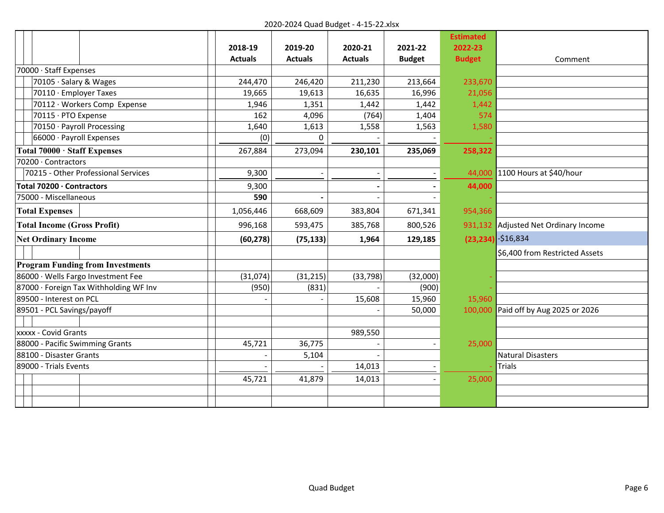|                                         |                |                |                |               | <b>Estimated</b> |                                |
|-----------------------------------------|----------------|----------------|----------------|---------------|------------------|--------------------------------|
|                                         | 2018-19        | 2019-20        | 2020-21        | 2021-22       | 2022-23          |                                |
|                                         | <b>Actuals</b> | <b>Actuals</b> | <b>Actuals</b> | <b>Budget</b> | <b>Budget</b>    | Comment                        |
| 70000 · Staff Expenses                  |                |                |                |               |                  |                                |
| 70105 · Salary & Wages                  | 244,470        | 246,420        | 211,230        | 213,664       | 233,670          |                                |
| 70110 · Employer Taxes                  | 19,665         | 19,613         | 16,635         | 16,996        | 21,056           |                                |
| 70112 · Workers Comp Expense            | 1,946          | 1,351          | 1,442          | 1,442         | 1,442            |                                |
| 70115 · PTO Expense                     | 162            | 4,096          | (764)          | 1,404         | 574              |                                |
| 70150 · Payroll Processing              | 1,640          | 1,613          | 1,558          | 1,563         | 1,580            |                                |
| 66000 · Payroll Expenses                | (0)            | $\Omega$       |                |               |                  |                                |
| Total 70000 · Staff Expenses            | 267,884        | 273,094        | 230,101        | 235,069       | 258,322          |                                |
| 70200 · Contractors                     |                |                |                |               |                  |                                |
| 70215 - Other Professional Services     | 9,300          |                |                |               | 44,000           | 1100 Hours at \$40/hour        |
| Total 70200 · Contractors               | 9,300          |                |                |               | 44,000           |                                |
| 75000 - Miscellaneous                   | 590            |                |                |               |                  |                                |
| <b>Total Expenses</b>                   | 1,056,446      | 668,609        | 383,804        | 671,341       | 954,366          |                                |
| <b>Total Income (Gross Profit)</b>      | 996,168        | 593,475        | 385,768        | 800,526       | 931,132          | Adjusted Net Ordinary Income   |
| <b>Net Ordinary Income</b>              | (60, 278)      | (75, 133)      | 1,964          | 129,185       |                  | $(23, 234)$ -\$16,834          |
|                                         |                |                |                |               |                  | \$6,400 from Restricted Assets |
| <b>Program Funding from Investments</b> |                |                |                |               |                  |                                |
| 86000 · Wells Fargo Investment Fee      | (31,074)       | (31, 215)      | (33, 798)      | (32,000)      |                  |                                |
| 87000 · Foreign Tax Withholding WF Inv  | (950)          | (831)          |                | (900)         |                  |                                |
| 89500 - Interest on PCL                 |                |                | 15,608         | 15,960        | 15,960           |                                |
| 89501 - PCL Savings/payoff              |                |                |                | 50,000        | 100,000          | Paid off by Aug 2025 or 2026   |
|                                         |                |                |                |               |                  |                                |
| xxxxx - Covid Grants                    |                |                | 989,550        |               |                  |                                |
| 88000 - Pacific Swimming Grants         | 45,721         | 36,775         |                |               | 25,000           |                                |
| 88100 - Disaster Grants                 |                | 5,104          |                |               |                  | <b>Natural Disasters</b>       |
| 89000 - Trials Events                   |                |                | 14,013         |               |                  | <b>Trials</b>                  |
|                                         | 45,721         | 41,879         | 14,013         |               | 25,000           |                                |
|                                         |                |                |                |               |                  |                                |
|                                         |                |                |                |               |                  |                                |